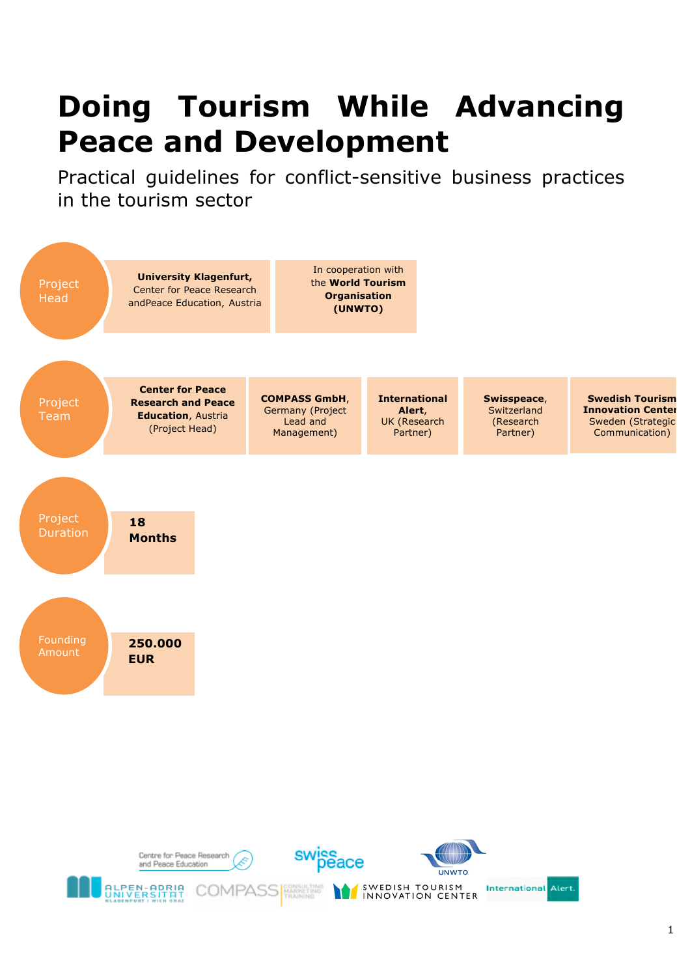# **Doing Tourism While Advancing Peace and Development**

Practical guidelines for conflict-sensitive business practices in the tourism sector



I INNOVATION CENTER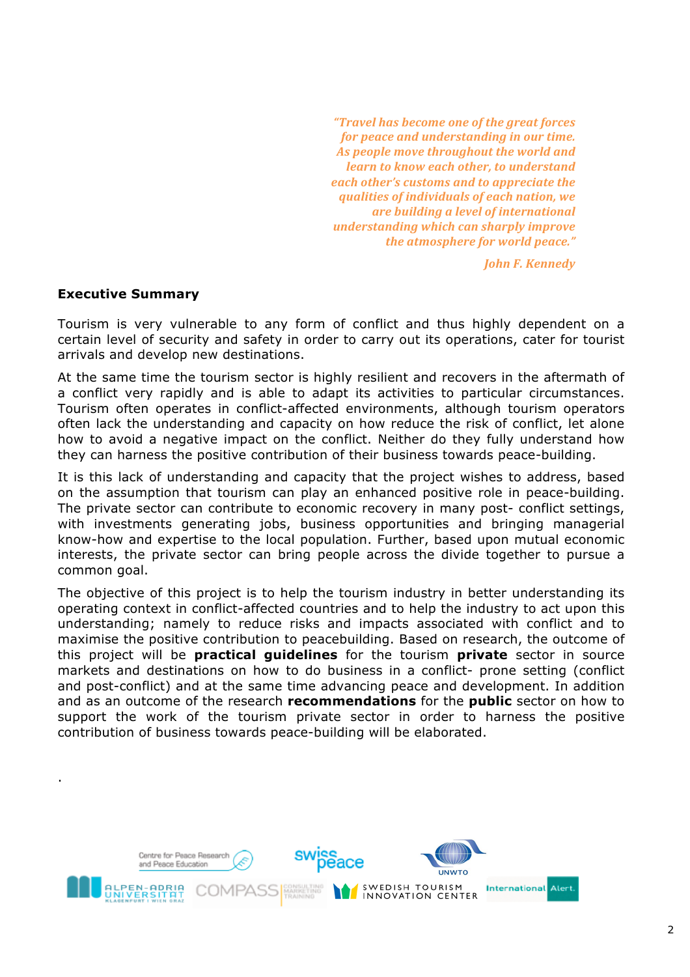*"Travel has become one of the areat forces for peace and understanding in our time.* As people move throughout the world and *learn to know each other, to understand each other's customs and to appreciate the dualities of individuals of each nation, we <u>are building a level of international</u> Inderstanding which can sharply improve the atmosphere for world peace."* 

*John F. Kennedy* 

# **Executive Summary**

.

Tourism is very vulnerable to any form of conflict and thus highly dependent on a certain level of security and safety in order to carry out its operations, cater for tourist arrivals and develop new destinations.

At the same time the tourism sector is highly resilient and recovers in the aftermath of a conflict very rapidly and is able to adapt its activities to particular circumstances. Tourism often operates in conflict-affected environments, although tourism operators often lack the understanding and capacity on how reduce the risk of conflict, let alone how to avoid a negative impact on the conflict. Neither do they fully understand how they can harness the positive contribution of their business towards peace-building.

It is this lack of understanding and capacity that the project wishes to address, based on the assumption that tourism can play an enhanced positive role in peace-building. The private sector can contribute to economic recovery in many post- conflict settings, with investments generating jobs, business opportunities and bringing managerial know-how and expertise to the local population. Further, based upon mutual economic interests, the private sector can bring people across the divide together to pursue a common goal.

The objective of this project is to help the tourism industry in better understanding its operating context in conflict-affected countries and to help the industry to act upon this understanding; namely to reduce risks and impacts associated with conflict and to maximise the positive contribution to peacebuilding. Based on research, the outcome of this project will be **practical guidelines** for the tourism **private** sector in source markets and destinations on how to do business in a conflict- prone setting (conflict and post-conflict) and at the same time advancing peace and development. In addition and as an outcome of the research **recommendations** for the **public** sector on how to support the work of the tourism private sector in order to harness the positive contribution of business towards peace-building will be elaborated.

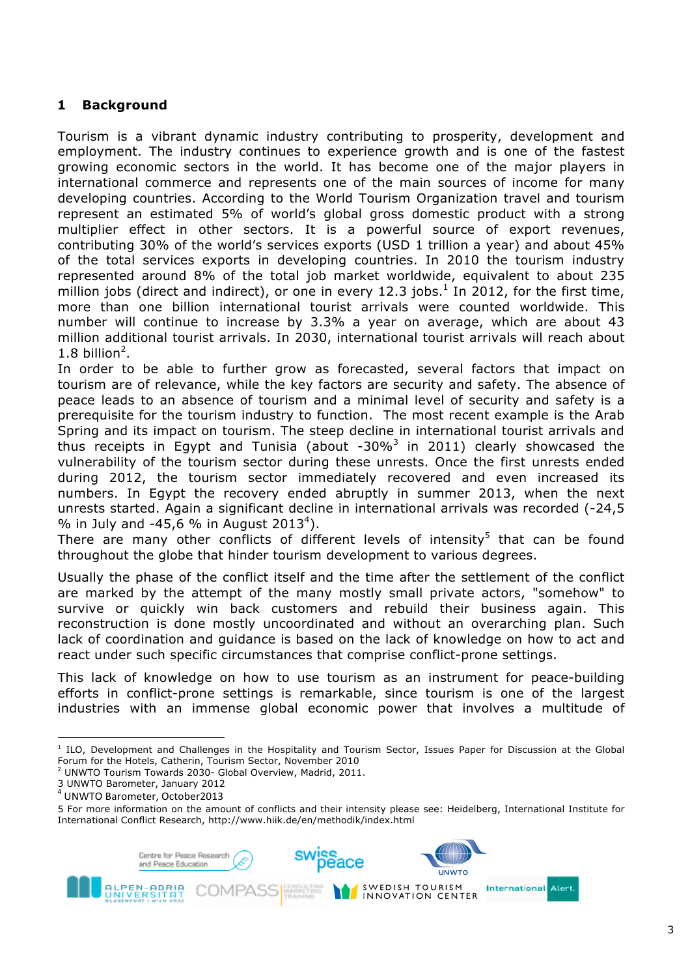# **1 Background**

Tourism is a vibrant dynamic industry contributing to prosperity, development and employment. The industry continues to experience growth and is one of the fastest growing economic sectors in the world. It has become one of the major players in international commerce and represents one of the main sources of income for many developing countries. According to the World Tourism Organization travel and tourism represent an estimated 5% of world's global gross domestic product with a strong multiplier effect in other sectors. It is a powerful source of export revenues, contributing 30% of the world's services exports (USD 1 trillion a year) and about 45% of the total services exports in developing countries. In 2010 the tourism industry represented around 8% of the total job market worldwide, equivalent to about 235 million jobs (direct and indirect), or one in every 12.3 jobs. $^1$  In 2012, for the first time, more than one billion international tourist arrivals were counted worldwide. This number will continue to increase by 3.3% a year on average, which are about 43 million additional tourist arrivals. In 2030, international tourist arrivals will reach about  $1.8$  billion<sup>2</sup>.

In order to be able to further grow as forecasted, several factors that impact on tourism are of relevance, while the key factors are security and safety. The absence of peace leads to an absence of tourism and a minimal level of security and safety is a prerequisite for the tourism industry to function. The most recent example is the Arab Spring and its impact on tourism. The steep decline in international tourist arrivals and thus receipts in Egypt and Tunisia (about -30%<sup>3</sup> in 2011) clearly showcased the vulnerability of the tourism sector during these unrests. Once the first unrests ended during 2012, the tourism sector immediately recovered and even increased its numbers. In Egypt the recovery ended abruptly in summer 2013, when the next unrests started. Again a significant decline in international arrivals was recorded (-24,5 % in July and -45,6 % in August 2013<sup>4</sup>).

There are many other conflicts of different levels of intensity<sup>5</sup> that can be found throughout the globe that hinder tourism development to various degrees.

Usually the phase of the conflict itself and the time after the settlement of the conflict are marked by the attempt of the many mostly small private actors, "somehow" to survive or quickly win back customers and rebuild their business again. This reconstruction is done mostly uncoordinated and without an overarching plan. Such lack of coordination and guidance is based on the lack of knowledge on how to act and react under such specific circumstances that comprise conflict-prone settings.

This lack of knowledge on how to use tourism as an instrument for peace-building efforts in conflict-prone settings is remarkable, since tourism is one of the largest industries with an immense global economic power that involves a multitude of

!!!!!!!!!!!!!!!!!!!!!!!!!!!!!!!!!!!!!!!!!!!!!!!!!!!!!!!!!!!!

<sup>5</sup> For more information on the amount of conflicts and their intensity please see: Heidelberg, International Institute for International Conflict Research, http://www.hiik.de/en/methodik/index.html



<sup>1</sup> ILO, Development and Challenges in the Hospitality and Tourism Sector, Issues Paper for Discussion at the Global Forum for the Hotels, Catherin, Tourism Sector, November 2010

<sup>&</sup>lt;sup>2</sup> UNWTO Tourism Towards 2030- Global Overview, Madrid, 2011.

<sup>3</sup> UNWTO Barometer, January 2012

 $<sup>4</sup>$  UNWTO Barometer, October2013</sup>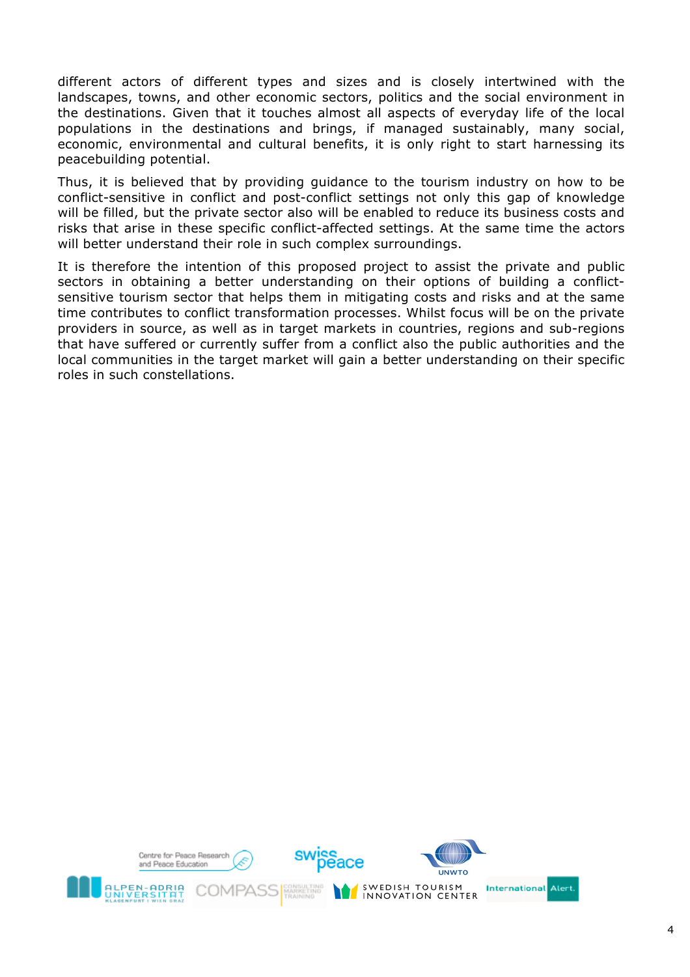different actors of different types and sizes and is closely intertwined with the landscapes, towns, and other economic sectors, politics and the social environment in the destinations. Given that it touches almost all aspects of everyday life of the local populations in the destinations and brings, if managed sustainably, many social, economic, environmental and cultural benefits, it is only right to start harnessing its peacebuilding potential.

Thus, it is believed that by providing guidance to the tourism industry on how to be conflict-sensitive in conflict and post-conflict settings not only this gap of knowledge will be filled, but the private sector also will be enabled to reduce its business costs and risks that arise in these specific conflict-affected settings. At the same time the actors will better understand their role in such complex surroundings.

It is therefore the intention of this proposed project to assist the private and public sectors in obtaining a better understanding on their options of building a conflictsensitive tourism sector that helps them in mitigating costs and risks and at the same time contributes to conflict transformation processes. Whilst focus will be on the private providers in source, as well as in target markets in countries, regions and sub-regions that have suffered or currently suffer from a conflict also the public authorities and the local communities in the target market will gain a better understanding on their specific roles in such constellations.

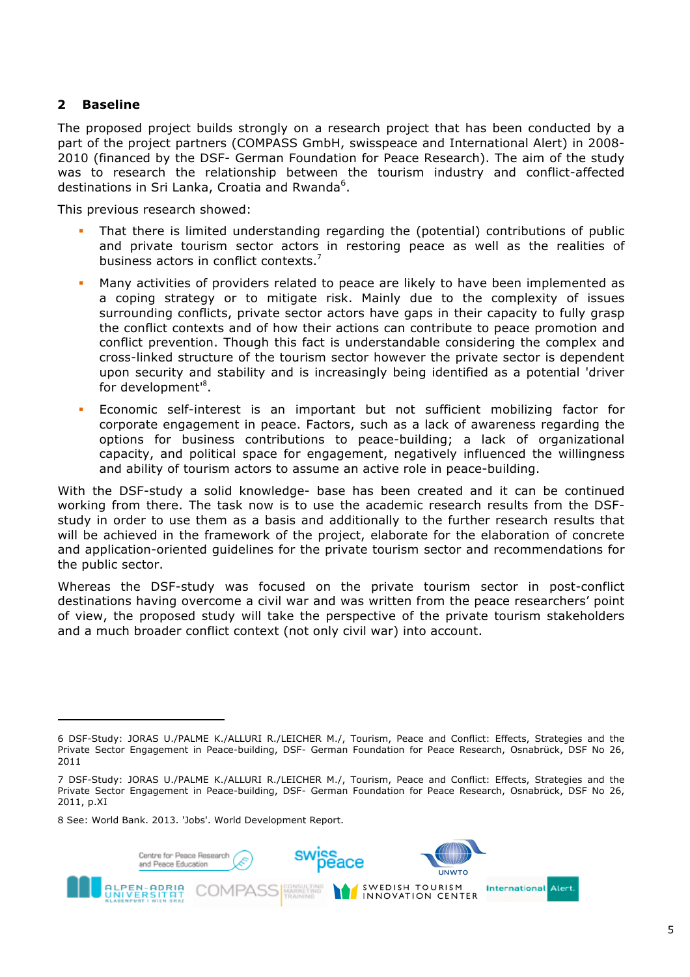# **2 Baseline**

The proposed project builds strongly on a research project that has been conducted by a part of the project partners (COMPASS GmbH, swisspeace and International Alert) in 2008- 2010 (financed by the DSF- German Foundation for Peace Research). The aim of the study was to research the relationship between the tourism industry and conflict-affected destinations in Sri Lanka, Croatia and Rwanda<sup>6</sup>.

This previous research showed:

- That there is limited understanding regarding the (potential) contributions of public and private tourism sector actors in restoring peace as well as the realities of business actors in conflict contexts.
- Many activities of providers related to peace are likely to have been implemented as a coping strategy or to mitigate risk. Mainly due to the complexity of issues surrounding conflicts, private sector actors have gaps in their capacity to fully grasp the conflict contexts and of how their actions can contribute to peace promotion and conflict prevention. Though this fact is understandable considering the complex and cross-linked structure of the tourism sector however the private sector is dependent upon security and stability and is increasingly being identified as a potential 'driver for development<sup>18</sup>.
- ! Economic self-interest is an important but not sufficient mobilizing factor for corporate engagement in peace. Factors, such as a lack of awareness regarding the options for business contributions to peace-building; a lack of organizational capacity, and political space for engagement, negatively influenced the willingness and ability of tourism actors to assume an active role in peace-building.

With the DSF-study a solid knowledge- base has been created and it can be continued working from there. The task now is to use the academic research results from the DSFstudy in order to use them as a basis and additionally to the further research results that will be achieved in the framework of the project, elaborate for the elaboration of concrete and application-oriented guidelines for the private tourism sector and recommendations for the public sector.

Whereas the DSF-study was focused on the private tourism sector in post-conflict destinations having overcome a civil war and was written from the peace researchers' point of view, the proposed study will take the perspective of the private tourism stakeholders and a much broader conflict context (not only civil war) into account.

8 See: World Bank. 2013. 'Jobs'. World Development Report.

!!!!!!!!!!!!!!!!!!!!!!!!!!!!!!!!!!!!!!!!!!!!!!!!!!!!!!!!!!!!



<sup>6</sup> DSF-Study: JORAS U./PALME K./ALLURI R./LEICHER M./, Tourism, Peace and Conflict: Effects, Strategies and the Private Sector Engagement in Peace-building, DSF- German Foundation for Peace Research, Osnabrück, DSF No 26, 2011

<sup>7</sup> DSF-Study: JORAS U./PALME K./ALLURI R./LEICHER M./, Tourism, Peace and Conflict: Effects, Strategies and the Private Sector Engagement in Peace-building, DSF- German Foundation for Peace Research, Osnabrück, DSF No 26, 2011, p.XI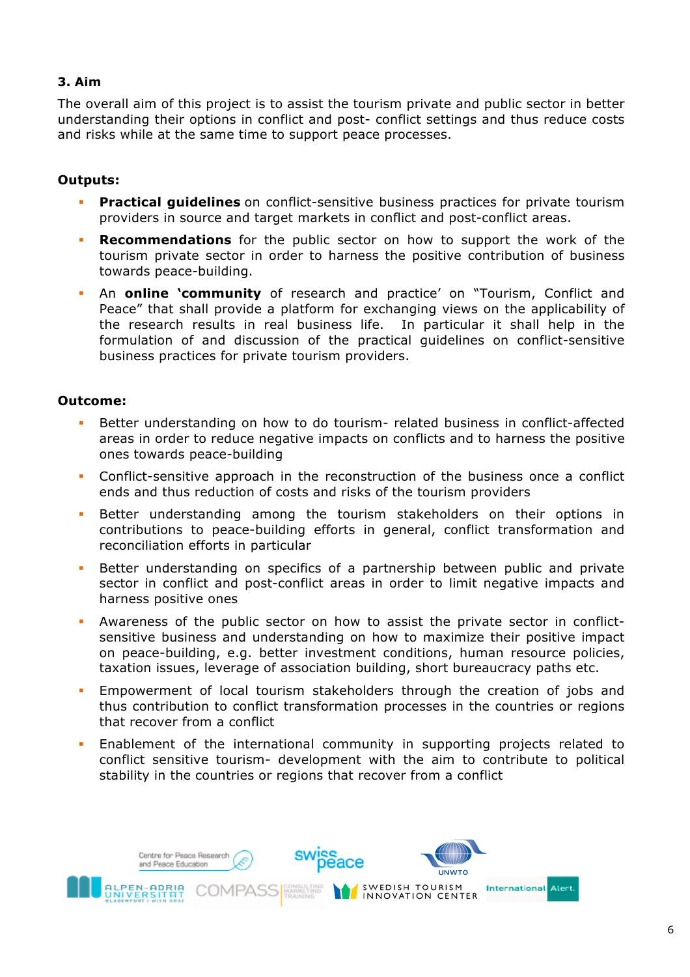# **3. Aim**

The overall aim of this project is to assist the tourism private and public sector in better understanding their options in conflict and post- conflict settings and thus reduce costs and risks while at the same time to support peace processes.

# **Outputs:**

- ! **Practical guidelines** on conflict-sensitive business practices for private tourism providers in source and target markets in conflict and post-conflict areas.
- ! **Recommendations** for the public sector on how to support the work of the tourism private sector in order to harness the positive contribution of business towards peace-building.
- ! An **online 'community** of research and practice' on "Tourism, Conflict and Peace" that shall provide a platform for exchanging views on the applicability of the research results in real business life. In particular it shall help in the formulation of and discussion of the practical guidelines on conflict-sensitive business practices for private tourism providers.

# **Outcome:**

- Better understanding on how to do tourism- related business in conflict-affected areas in order to reduce negative impacts on conflicts and to harness the positive ones towards peace-building
- ! Conflict-sensitive approach in the reconstruction of the business once a conflict ends and thus reduction of costs and risks of the tourism providers
- **EXECTE:** Better understanding among the tourism stakeholders on their options in contributions to peace-building efforts in general, conflict transformation and reconciliation efforts in particular
- ! Better understanding on specifics of a partnership between public and private sector in conflict and post-conflict areas in order to limit negative impacts and harness positive ones
- ! Awareness of the public sector on how to assist the private sector in conflictsensitive business and understanding on how to maximize their positive impact on peace-building, e.g. better investment conditions, human resource policies, taxation issues, leverage of association building, short bureaucracy paths etc.
- ! Empowerment of local tourism stakeholders through the creation of jobs and thus contribution to conflict transformation processes in the countries or regions that recover from a conflict
- ! Enablement of the international community in supporting projects related to conflict sensitive tourism- development with the aim to contribute to political stability in the countries or regions that recover from a conflict

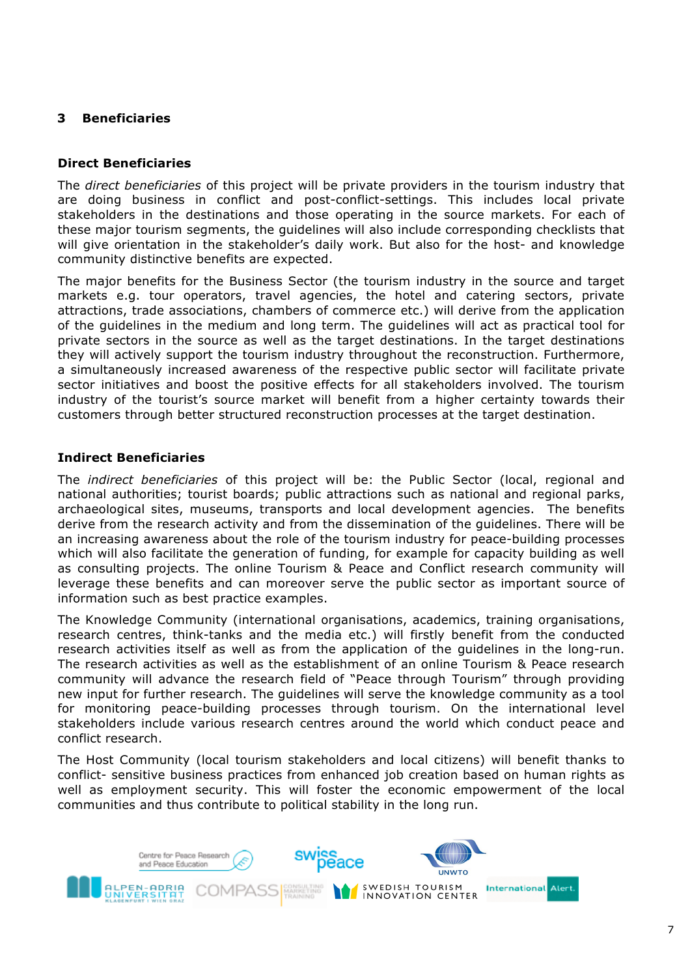# **3 Beneficiaries**

## **Direct Beneficiaries**

The *direct beneficiaries* of this project will be private providers in the tourism industry that are doing business in conflict and post-conflict-settings. This includes local private stakeholders in the destinations and those operating in the source markets. For each of these major tourism segments, the guidelines will also include corresponding checklists that will give orientation in the stakeholder's daily work. But also for the host- and knowledge community distinctive benefits are expected.

The major benefits for the Business Sector (the tourism industry in the source and target markets e.g. tour operators, travel agencies, the hotel and catering sectors, private attractions, trade associations, chambers of commerce etc.) will derive from the application of the guidelines in the medium and long term. The guidelines will act as practical tool for private sectors in the source as well as the target destinations. In the target destinations they will actively support the tourism industry throughout the reconstruction. Furthermore, a simultaneously increased awareness of the respective public sector will facilitate private sector initiatives and boost the positive effects for all stakeholders involved. The tourism industry of the tourist's source market will benefit from a higher certainty towards their customers through better structured reconstruction processes at the target destination.

#### **Indirect Beneficiaries**

The *indirect beneficiaries* of this project will be: the Public Sector (local, regional and national authorities; tourist boards; public attractions such as national and regional parks, archaeological sites, museums, transports and local development agencies. The benefits derive from the research activity and from the dissemination of the guidelines. There will be an increasing awareness about the role of the tourism industry for peace-building processes which will also facilitate the generation of funding, for example for capacity building as well as consulting projects. The online Tourism & Peace and Conflict research community will leverage these benefits and can moreover serve the public sector as important source of information such as best practice examples.

The Knowledge Community (international organisations, academics, training organisations, research centres, think-tanks and the media etc.) will firstly benefit from the conducted research activities itself as well as from the application of the guidelines in the long-run. The research activities as well as the establishment of an online Tourism & Peace research community will advance the research field of "Peace through Tourism" through providing new input for further research. The guidelines will serve the knowledge community as a tool for monitoring peace-building processes through tourism. On the international level stakeholders include various research centres around the world which conduct peace and conflict research.

The Host Community (local tourism stakeholders and local citizens) will benefit thanks to conflict- sensitive business practices from enhanced job creation based on human rights as well as employment security. This will foster the economic empowerment of the local communities and thus contribute to political stability in the long run.

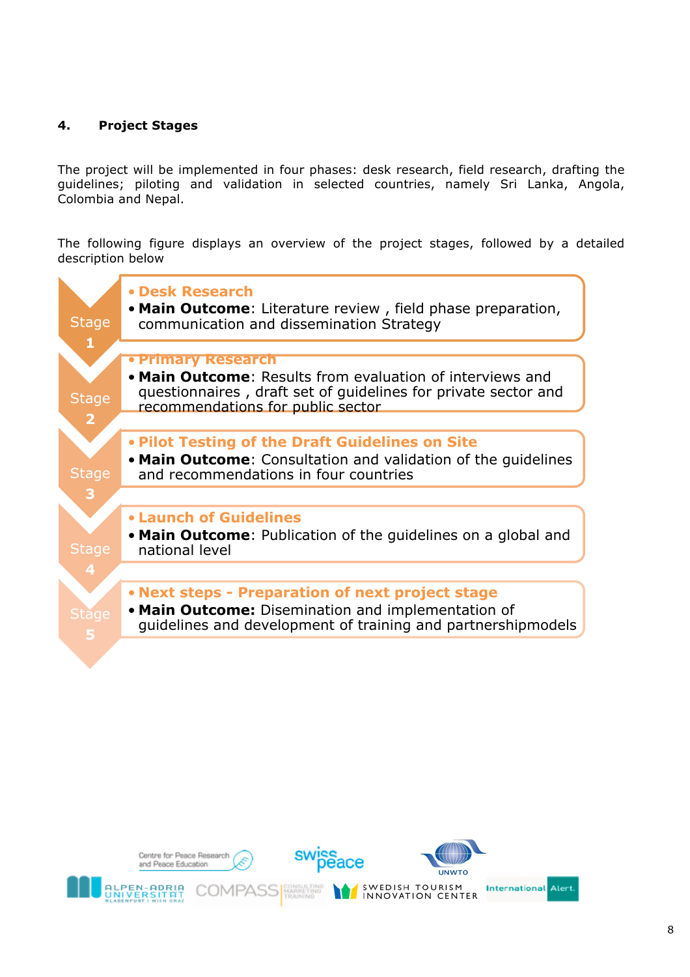# **4. Project Stages**

The project will be implemented in four phases: desk research, field research, drafting the guidelines; piloting and validation in selected countries, namely Sri Lanka, Angola, Colombia and Nepal.

The following figure displays an overview of the project stages, followed by a detailed description below



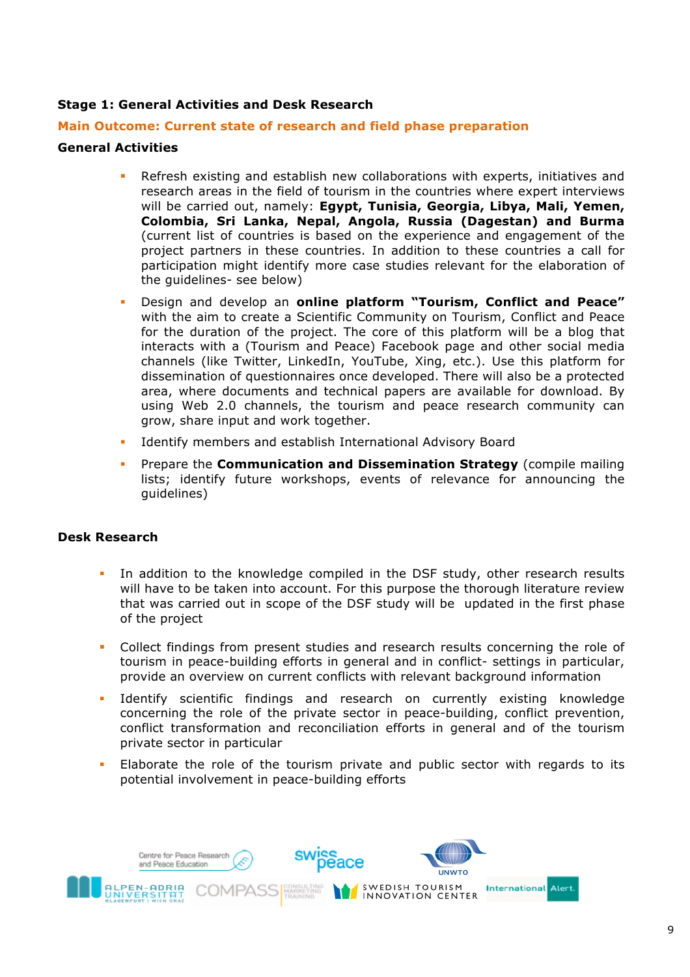# **Stage 1: General Activities and Desk Research**

#### **Main Outcome: Current state of research and field phase preparation**

## **General Activities**

- Refresh existing and establish new collaborations with experts, initiatives and research areas in the field of tourism in the countries where expert interviews will be carried out, namely: **Egypt, Tunisia, Georgia, Libya, Mali, Yemen, Colombia, Sri Lanka, Nepal, Angola, Russia (Dagestan) and Burma**  (current list of countries is based on the experience and engagement of the project partners in these countries. In addition to these countries a call for participation might identify more case studies relevant for the elaboration of the guidelines- see below)
- ! Design and develop an **online platform "Tourism, Conflict and Peace"** with the aim to create a Scientific Community on Tourism, Conflict and Peace for the duration of the project. The core of this platform will be a blog that interacts with a (Tourism and Peace) Facebook page and other social media channels (like Twitter, LinkedIn, YouTube, Xing, etc.). Use this platform for dissemination of questionnaires once developed. There will also be a protected area, where documents and technical papers are available for download. By using Web 2.0 channels, the tourism and peace research community can grow, share input and work together.
- Identify members and establish International Advisory Board
- ! Prepare the **Communication and Dissemination Strategy** (compile mailing lists; identify future workshops, events of relevance for announcing the guidelines)

# **Desk Research**

- In addition to the knowledge compiled in the DSF study, other research results will have to be taken into account. For this purpose the thorough literature review that was carried out in scope of the DSF study will be updated in the first phase of the project
- ! Collect findings from present studies and research results concerning the role of tourism in peace-building efforts in general and in conflict- settings in particular, provide an overview on current conflicts with relevant background information
- Identify scientific findings and research on currently existing knowledge concerning the role of the private sector in peace-building, conflict prevention, conflict transformation and reconciliation efforts in general and of the tourism private sector in particular
- Elaborate the role of the tourism private and public sector with regards to its potential involvement in peace-building efforts

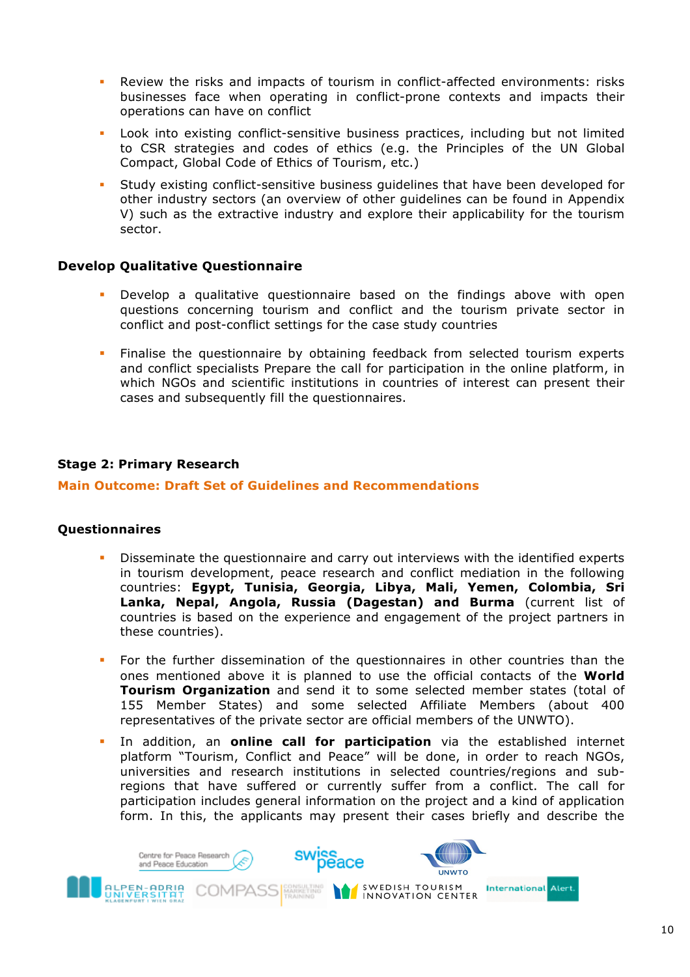- Review the risks and impacts of tourism in conflict-affected environments: risks businesses face when operating in conflict-prone contexts and impacts their operations can have on conflict
- Look into existing conflict-sensitive business practices, including but not limited to CSR strategies and codes of ethics (e.g. the Principles of the UN Global Compact, Global Code of Ethics of Tourism, etc.)
- Study existing conflict-sensitive business guidelines that have been developed for other industry sectors (an overview of other guidelines can be found in Appendix V) such as the extractive industry and explore their applicability for the tourism sector.

# **Develop Qualitative Questionnaire**

- ! Develop a qualitative questionnaire based on the findings above with open questions concerning tourism and conflict and the tourism private sector in conflict and post-conflict settings for the case study countries
- ! Finalise the questionnaire by obtaining feedback from selected tourism experts and conflict specialists Prepare the call for participation in the online platform, in which NGOs and scientific institutions in countries of interest can present their cases and subsequently fill the questionnaires.

# **Stage 2: Primary Research**

# **Main Outcome: Draft Set of Guidelines and Recommendations**

# **Questionnaires**

- ! Disseminate the questionnaire and carry out interviews with the identified experts in tourism development, peace research and conflict mediation in the following countries: **Egypt, Tunisia, Georgia, Libya, Mali, Yemen, Colombia, Sri Lanka, Nepal, Angola, Russia (Dagestan) and Burma** (current list of countries is based on the experience and engagement of the project partners in these countries).
- ! For the further dissemination of the questionnaires in other countries than the ones mentioned above it is planned to use the official contacts of the **World Tourism Organization** and send it to some selected member states (total of 155 Member States) and some selected Affiliate Members (about 400 representatives of the private sector are official members of the UNWTO).
- In addition, an **online call for participation** via the established internet platform "Tourism, Conflict and Peace" will be done, in order to reach NGOs, universities and research institutions in selected countries/regions and subregions that have suffered or currently suffer from a conflict. The call for participation includes general information on the project and a kind of application form. In this, the applicants may present their cases briefly and describe the

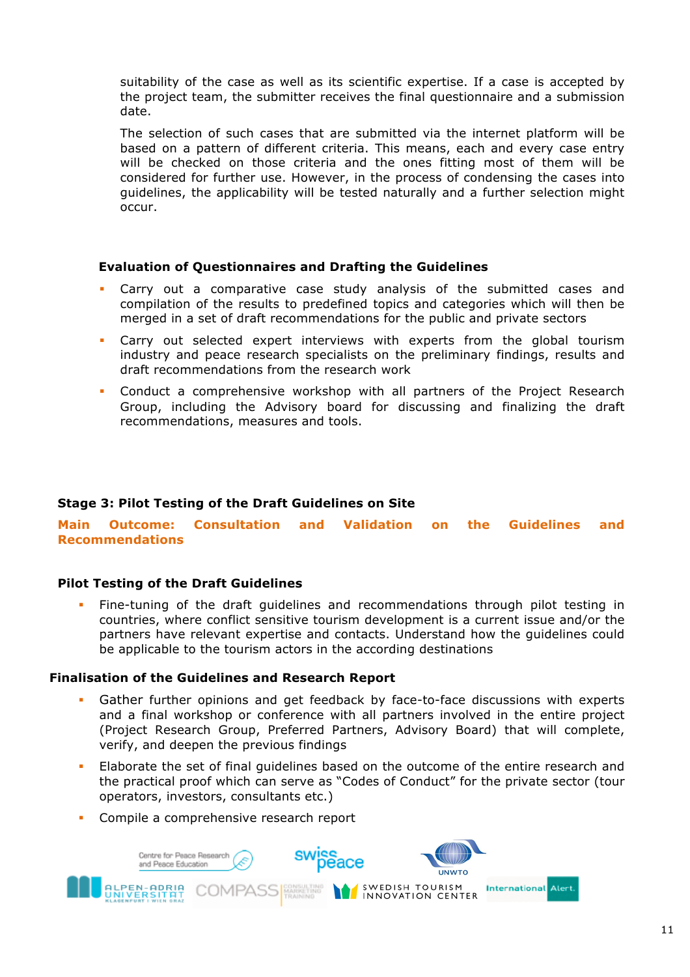suitability of the case as well as its scientific expertise. If a case is accepted by the project team, the submitter receives the final questionnaire and a submission date.

The selection of such cases that are submitted via the internet platform will be based on a pattern of different criteria. This means, each and every case entry will be checked on those criteria and the ones fitting most of them will be considered for further use. However, in the process of condensing the cases into guidelines, the applicability will be tested naturally and a further selection might occur.

# **Evaluation of Questionnaires and Drafting the Guidelines**

- Carry out a comparative case study analysis of the submitted cases and compilation of the results to predefined topics and categories which will then be merged in a set of draft recommendations for the public and private sectors
- Carry out selected expert interviews with experts from the global tourism industry and peace research specialists on the preliminary findings, results and draft recommendations from the research work
- ! Conduct a comprehensive workshop with all partners of the Project Research Group, including the Advisory board for discussing and finalizing the draft recommendations, measures and tools.

# **Stage 3: Pilot Testing of the Draft Guidelines on Site**

**Main Outcome: Consultation and Validation on the Guidelines and Recommendations**

# **Pilot Testing of the Draft Guidelines**

! Fine-tuning of the draft guidelines and recommendations through pilot testing in countries, where conflict sensitive tourism development is a current issue and/or the partners have relevant expertise and contacts. Understand how the guidelines could be applicable to the tourism actors in the according destinations

#### **Finalisation of the Guidelines and Research Report**

- Gather further opinions and get feedback by face-to-face discussions with experts and a final workshop or conference with all partners involved in the entire project (Project Research Group, Preferred Partners, Advisory Board) that will complete, verify, and deepen the previous findings
- ! Elaborate the set of final guidelines based on the outcome of the entire research and the practical proof which can serve as "Codes of Conduct" for the private sector (tour operators, investors, consultants etc.)
- Compile a comprehensive research report

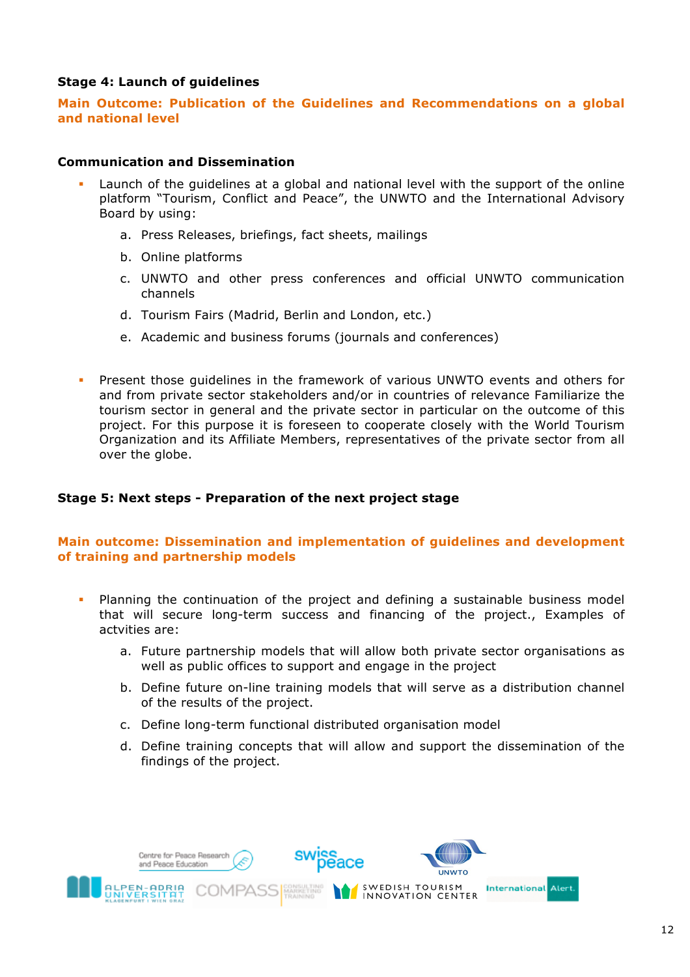# **Stage 4: Launch of guidelines**

**Main Outcome: Publication of the Guidelines and Recommendations on a global and national level**

## **Communication and Dissemination**

- Launch of the guidelines at a global and national level with the support of the online platform "Tourism, Conflict and Peace", the UNWTO and the International Advisory Board by using:
	- a. Press Releases, briefings, fact sheets, mailings
	- b. Online platforms
	- c. UNWTO and other press conferences and official UNWTO communication channels
	- d. Tourism Fairs (Madrid, Berlin and London, etc.)
	- e. Academic and business forums (journals and conferences)
- ! Present those guidelines in the framework of various UNWTO events and others for and from private sector stakeholders and/or in countries of relevance Familiarize the tourism sector in general and the private sector in particular on the outcome of this project. For this purpose it is foreseen to cooperate closely with the World Tourism Organization and its Affiliate Members, representatives of the private sector from all over the globe.

# **Stage 5: Next steps - Preparation of the next project stage**

# **Main outcome: Dissemination and implementation of guidelines and development of training and partnership models**

- ! Planning the continuation of the project and defining a sustainable business model that will secure long-term success and financing of the project., Examples of actvities are:
	- a. Future partnership models that will allow both private sector organisations as well as public offices to support and engage in the project
	- b. Define future on-line training models that will serve as a distribution channel of the results of the project.
	- c. Define long-term functional distributed organisation model
	- d. Define training concepts that will allow and support the dissemination of the findings of the project.

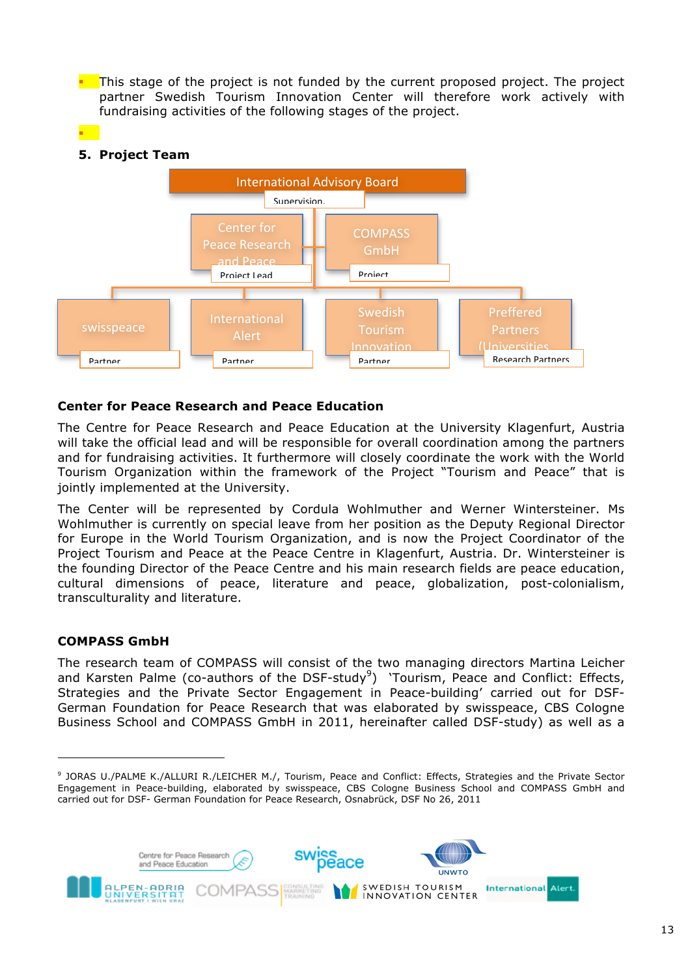$\blacksquare$  This stage of the project is not funded by the current proposed project. The project partner Swedish Tourism Innovation Center will therefore work actively with fundraising activities of the following stages of the project.

# **5. Project Team**

!



# **Center for Peace Research and Peace Education**

The Centre for Peace Research and Peace Education at the University Klagenfurt, Austria will take the official lead and will be responsible for overall coordination among the partners and for fundraising activities. It furthermore will closely coordinate the work with the World Tourism Organization within the framework of the Project "Tourism and Peace" that is jointly implemented at the University.

The Center will be represented by Cordula Wohlmuther and Werner Wintersteiner. Ms Wohlmuther is currently on special leave from her position as the Deputy Regional Director for Europe in the World Tourism Organization, and is now the Project Coordinator of the Project Tourism and Peace at the Peace Centre in Klagenfurt, Austria. Dr. Wintersteiner is the founding Director of the Peace Centre and his main research fields are peace education, cultural dimensions of peace, literature and peace, globalization, post-colonialism, transculturality and literature.

# **COMPASS GmbH**

!!!!!!!!!!!!!!!!!!!!!!!!!!!!!!!!!!!!!!!!!!!!!!!!!!!!!!!!!!!!

The research team of COMPASS will consist of the two managing directors Martina Leicher and Karsten Palme (co-authors of the DSF-study<sup>9</sup>) 'Tourism, Peace and Conflict: Effects, Strategies and the Private Sector Engagement in Peace-building' carried out for DSF-German Foundation for Peace Research that was elaborated by swisspeace, CBS Cologne Business School and COMPASS GmbH in 2011, hereinafter called DSF-study) as well as a

<sup>9</sup> JORAS U./PALME K./ALLURI R./LEICHER M./, Tourism, Peace and Conflict: Effects, Strategies and the Private Sector Engagement in Peace-building, elaborated by swisspeace, CBS Cologne Business School and COMPASS GmbH and carried out for DSF- German Foundation for Peace Research, Osnabrück, DSF No 26, 2011

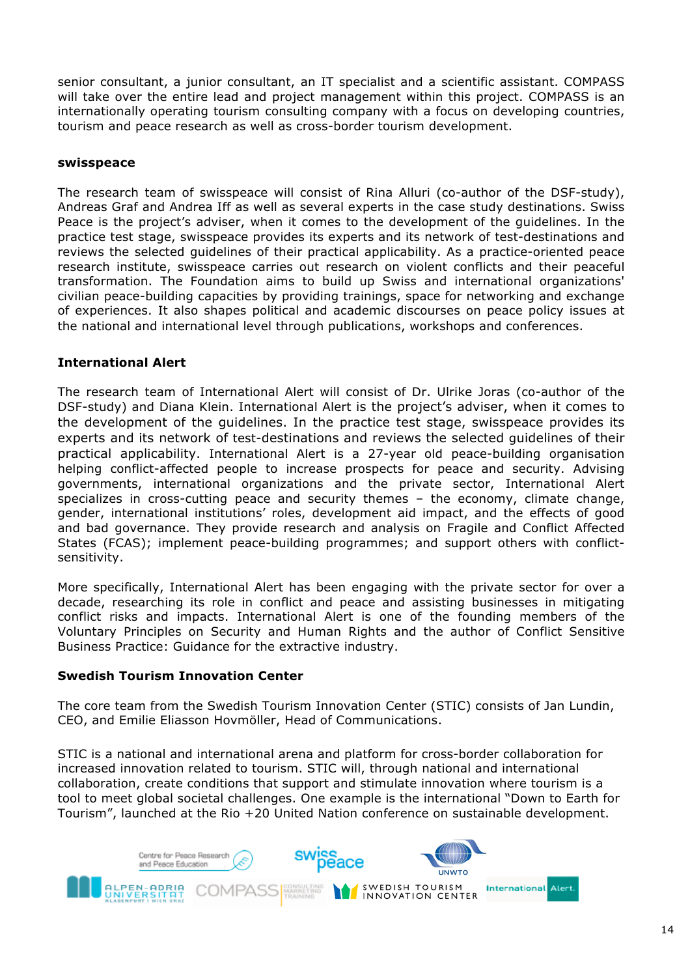senior consultant, a junior consultant, an IT specialist and a scientific assistant. COMPASS will take over the entire lead and project management within this project. COMPASS is an internationally operating tourism consulting company with a focus on developing countries, tourism and peace research as well as cross-border tourism development.

## **swisspeace**

The research team of swisspeace will consist of Rina Alluri (co-author of the DSF-study), Andreas Graf and Andrea Iff as well as several experts in the case study destinations. Swiss Peace is the project's adviser, when it comes to the development of the guidelines. In the practice test stage, swisspeace provides its experts and its network of test-destinations and reviews the selected guidelines of their practical applicability. As a practice-oriented peace research institute, swisspeace carries out research on violent conflicts and their peaceful transformation. The Foundation aims to build up Swiss and international organizations' civilian peace-building capacities by providing trainings, space for networking and exchange of experiences. It also shapes political and academic discourses on peace policy issues at the national and international level through publications, workshops and conferences.

# **International Alert**

The research team of International Alert will consist of Dr. Ulrike Joras (co-author of the DSF-study) and Diana Klein. International Alert is the project's adviser, when it comes to the development of the guidelines. In the practice test stage, swisspeace provides its experts and its network of test-destinations and reviews the selected guidelines of their practical applicability. International Alert is a 27-year old peace-building organisation helping conflict-affected people to increase prospects for peace and security. Advising governments, international organizations and the private sector, International Alert specializes in cross-cutting peace and security themes – the economy, climate change, gender, international institutions' roles, development aid impact, and the effects of good and bad governance. They provide research and analysis on Fragile and Conflict Affected States (FCAS); implement peace-building programmes; and support others with conflictsensitivity.

More specifically, International Alert has been engaging with the private sector for over a decade, researching its role in conflict and peace and assisting businesses in mitigating conflict risks and impacts. International Alert is one of the founding members of the Voluntary Principles on Security and Human Rights and the author of Conflict Sensitive Business Practice: Guidance for the extractive industry.

# **Swedish Tourism Innovation Center**

The core team from the Swedish Tourism Innovation Center (STIC) consists of Jan Lundin, CEO, and Emilie Eliasson Hovmöller, Head of Communications.

STIC is a national and international arena and platform for cross-border collaboration for increased innovation related to tourism. STIC will, through national and international collaboration, create conditions that support and stimulate innovation where tourism is a tool to meet global societal challenges. One example is the international "Down to Earth for Tourism", launched at the Rio +20 United Nation conference on sustainable development.

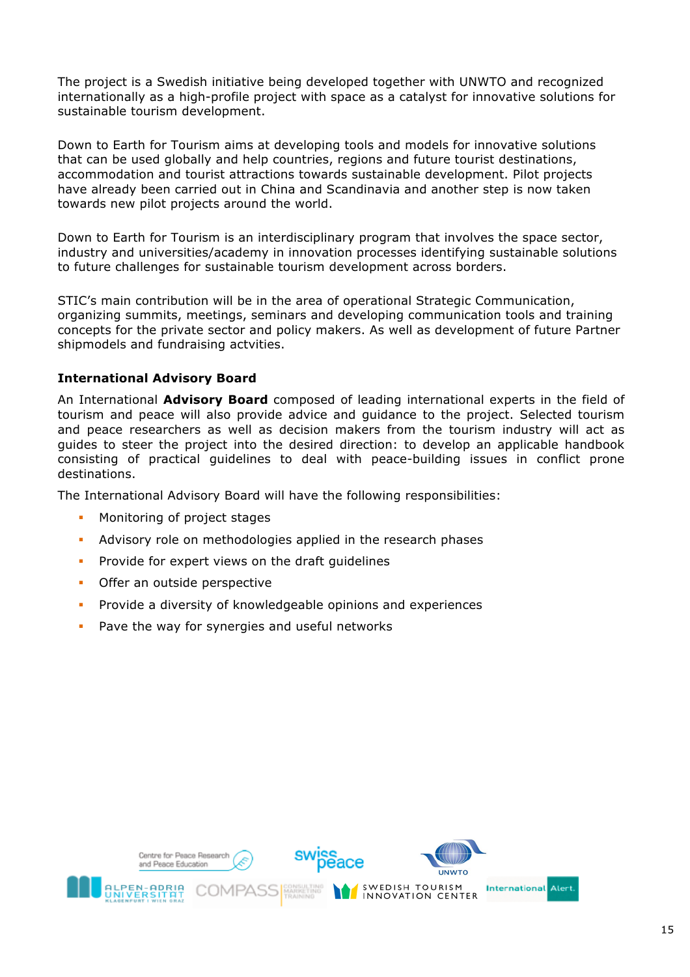The project is a Swedish initiative being developed together with UNWTO and recognized internationally as a high-profile project with space as a catalyst for innovative solutions for sustainable tourism development.

Down to Earth for Tourism aims at developing tools and models for innovative solutions that can be used globally and help countries, regions and future tourist destinations, accommodation and tourist attractions towards sustainable development. Pilot projects have already been carried out in China and Scandinavia and another step is now taken towards new pilot projects around the world.

Down to Earth for Tourism is an interdisciplinary program that involves the space sector, industry and universities/academy in innovation processes identifying sustainable solutions to future challenges for sustainable tourism development across borders.

STIC's main contribution will be in the area of operational Strategic Communication, organizing summits, meetings, seminars and developing communication tools and training concepts for the private sector and policy makers. As well as development of future Partner shipmodels and fundraising actvities.

# **International Advisory Board**

An International **Advisory Board** composed of leading international experts in the field of tourism and peace will also provide advice and guidance to the project. Selected tourism and peace researchers as well as decision makers from the tourism industry will act as guides to steer the project into the desired direction: to develop an applicable handbook consisting of practical guidelines to deal with peace-building issues in conflict prone destinations.

The International Advisory Board will have the following responsibilities:

- **EXECUTE:** Monitoring of project stages
- ! Advisory role on methodologies applied in the research phases
- ! Provide for expert views on the draft guidelines
- **•** Offer an outside perspective
- ! Provide a diversity of knowledgeable opinions and experiences
- ! Pave the way for synergies and useful networks

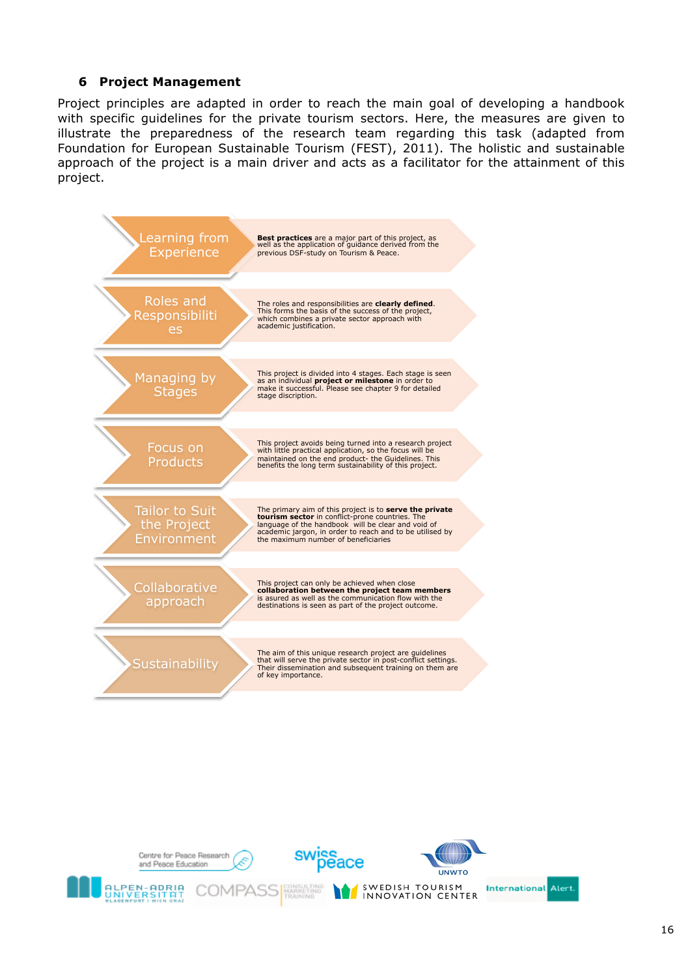# **6 Project Management**

Project principles are adapted in order to reach the main goal of developing a handbook with specific guidelines for the private tourism sectors. Here, the measures are given to illustrate the preparedness of the research team regarding this task (adapted from Foundation for European Sustainable Tourism (FEST), 2011). The holistic and sustainable approach of the project is a main driver and acts as a facilitator for the attainment of this project.



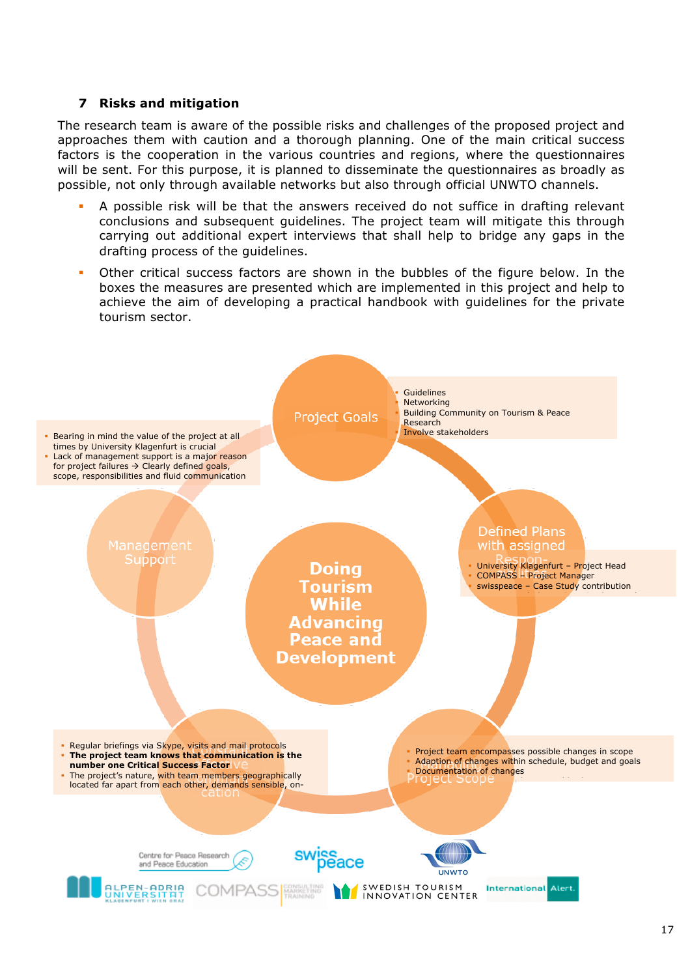# **7 Risks and mitigation**

The research team is aware of the possible risks and challenges of the proposed project and approaches them with caution and a thorough planning. One of the main critical success factors is the cooperation in the various countries and regions, where the questionnaires will be sent. For this purpose, it is planned to disseminate the questionnaires as broadly as possible, not only through available networks but also through official UNWTO channels.

- A possible risk will be that the answers received do not suffice in drafting relevant conclusions and subsequent guidelines. The project team will mitigate this through carrying out additional expert interviews that shall help to bridge any gaps in the drafting process of the guidelines.
- ! Other critical success factors are shown in the bubbles of the figure below. In the boxes the measures are presented which are implemented in this project and help to achieve the aim of developing a practical handbook with guidelines for the private tourism sector.

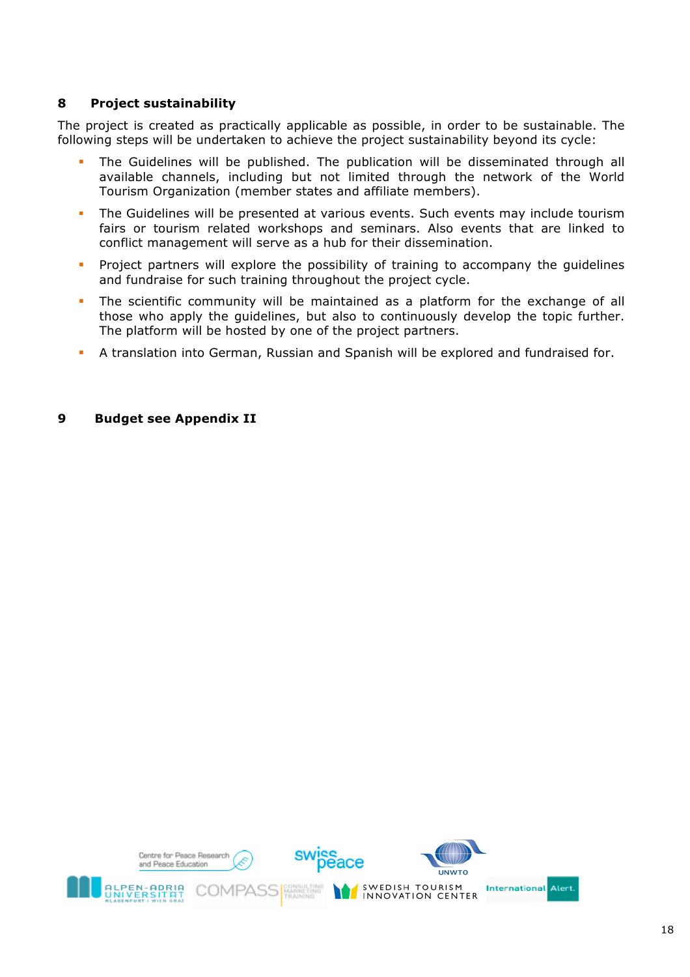# **8 Project sustainability**

The project is created as practically applicable as possible, in order to be sustainable. The following steps will be undertaken to achieve the project sustainability beyond its cycle:

- ! The Guidelines will be published. The publication will be disseminated through all available channels, including but not limited through the network of the World Tourism Organization (member states and affiliate members).
- ! The Guidelines will be presented at various events. Such events may include tourism fairs or tourism related workshops and seminars. Also events that are linked to conflict management will serve as a hub for their dissemination.
- ! Project partners will explore the possibility of training to accompany the guidelines and fundraise for such training throughout the project cycle.
- ! The scientific community will be maintained as a platform for the exchange of all those who apply the guidelines, but also to continuously develop the topic further. The platform will be hosted by one of the project partners.
- ! A translation into German, Russian and Spanish will be explored and fundraised for.

#### **9 Budget see Appendix II**